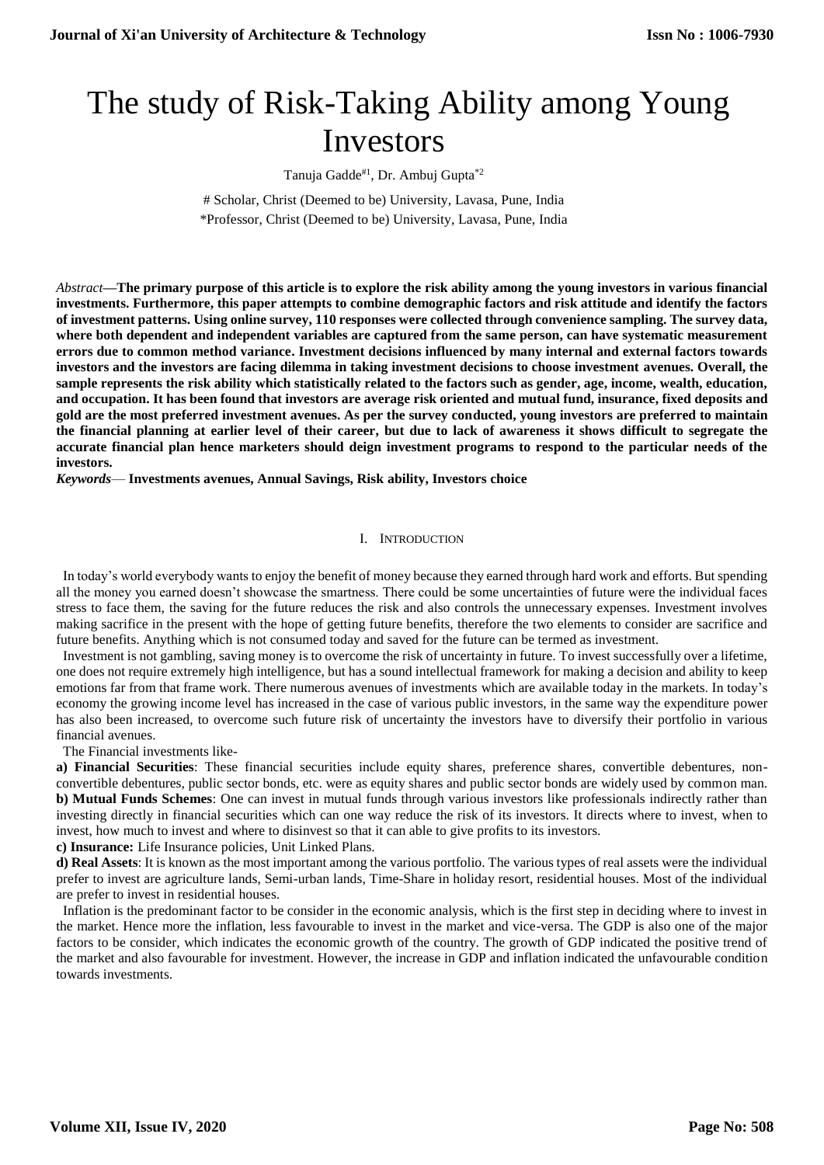# The study of Risk-Taking Ability among Young Investors

Tanuja Gadde<sup>#1</sup>, Dr. Ambuj Gupta<sup>\*2</sup>

# Scholar, Christ (Deemed to be) University, Lavasa, Pune, India \*Professor, Christ (Deemed to be) University, Lavasa, Pune, India

*Abstract***—The primary purpose of this article is to explore the risk ability among the young investors in various financial investments. Furthermore, this paper attempts to combine demographic factors and risk attitude and identify the factors of investment patterns. Using online survey, 110 responses were collected through convenience sampling. The survey data, where both dependent and independent variables are captured from the same person, can have systematic measurement errors due to common method variance. Investment decisions influenced by many internal and external factors towards investors and the investors are facing dilemma in taking investment decisions to choose investment avenues. Overall, the sample represents the risk ability which statistically related to the factors such as gender, age, income, wealth, education, and occupation. It has been found that investors are average risk oriented and mutual fund, insurance, fixed deposits and gold are the most preferred investment avenues. As per the survey conducted, young investors are preferred to maintain the financial planning at earlier level of their career, but due to lack of awareness it shows difficult to segregate the accurate financial plan hence marketers should deign investment programs to respond to the particular needs of the investors.**

*Keywords*— **Investments avenues, Annual Savings, Risk ability, Investors choice**

### I. INTRODUCTION

 In today's world everybody wants to enjoy the benefit of money because they earned through hard work and efforts. But spending all the money you earned doesn't showcase the smartness. There could be some uncertainties of future were the individual faces stress to face them, the saving for the future reduces the risk and also controls the unnecessary expenses. Investment involves making sacrifice in the present with the hope of getting future benefits, therefore the two elements to consider are sacrifice and future benefits. Anything which is not consumed today and saved for the future can be termed as investment.

 Investment is not gambling, saving money is to overcome the risk of uncertainty in future. To invest successfully over a lifetime, one does not require extremely high intelligence, but has a sound intellectual framework for making a decision and ability to keep emotions far from that frame work. There numerous avenues of investments which are available today in the markets. In today's economy the growing income level has increased in the case of various public investors, in the same way the expenditure power has also been increased, to overcome such future risk of uncertainty the investors have to diversify their portfolio in various financial avenues.

The Financial investments like-

**a) Financial Securities**: These financial securities include equity shares, preference shares, convertible debentures, nonconvertible debentures, public sector bonds, etc. were as equity shares and public sector bonds are widely used by common man. **b) Mutual Funds Schemes**: One can invest in mutual funds through various investors like professionals indirectly rather than investing directly in financial securities which can one way reduce the risk of its investors. It directs where to invest, when to invest, how much to invest and where to disinvest so that it can able to give profits to its investors.

**c) Insurance:** Life Insurance policies, Unit Linked Plans.

**d) Real Assets**: It is known as the most important among the various portfolio. The various types of real assets were the individual prefer to invest are agriculture lands, Semi-urban lands, Time-Share in holiday resort, residential houses. Most of the individual are prefer to invest in residential houses.

 Inflation is the predominant factor to be consider in the economic analysis, which is the first step in deciding where to invest in the market. Hence more the inflation, less favourable to invest in the market and vice-versa. The GDP is also one of the major factors to be consider, which indicates the economic growth of the country. The growth of GDP indicated the positive trend of the market and also favourable for investment. However, the increase in GDP and inflation indicated the unfavourable condition towards investments.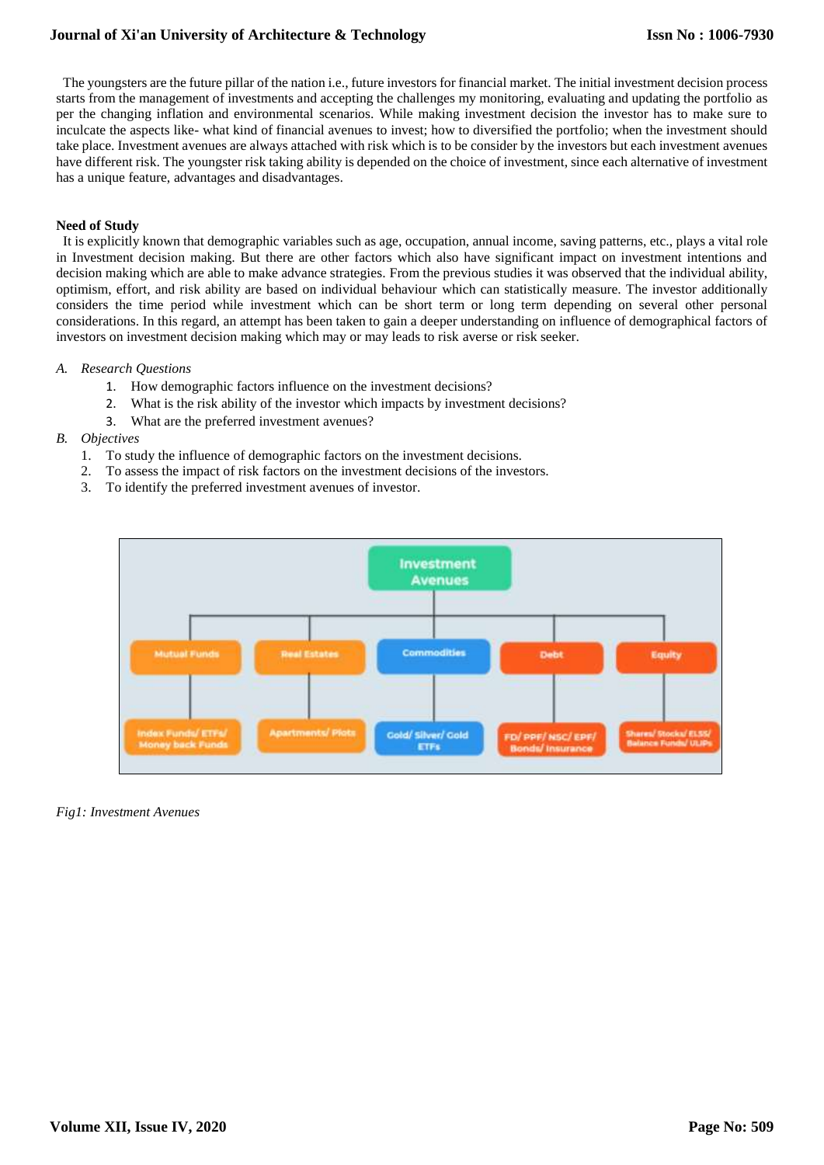The youngsters are the future pillar of the nation i.e., future investors for financial market. The initial investment decision process starts from the management of investments and accepting the challenges my monitoring, evaluating and updating the portfolio as per the changing inflation and environmental scenarios. While making investment decision the investor has to make sure to inculcate the aspects like- what kind of financial avenues to invest; how to diversified the portfolio; when the investment should take place. Investment avenues are always attached with risk which is to be consider by the investors but each investment avenues have different risk. The youngster risk taking ability is depended on the choice of investment, since each alternative of investment has a unique feature, advantages and disadvantages.

## **Need of Study**

It is explicitly known that demographic variables such as age, occupation, annual income, saving patterns, etc., plays a vital role in Investment decision making. But there are other factors which also have significant impact on investment intentions and decision making which are able to make advance strategies. From the previous studies it was observed that the individual ability, optimism, effort, and risk ability are based on individual behaviour which can statistically measure. The investor additionally considers the time period while investment which can be short term or long term depending on several other personal considerations. In this regard, an attempt has been taken to gain a deeper understanding on influence of demographical factors of investors on investment decision making which may or may leads to risk averse or risk seeker.

## *A. Research Questions*

- 1. How demographic factors influence on the investment decisions?
- 2. What is the risk ability of the investor which impacts by investment decisions?
- 3. What are the preferred investment avenues?

## *B. Objectives*

- 1. To study the influence of demographic factors on the investment decisions.
- 2. To assess the impact of risk factors on the investment decisions of the investors.
- 3. To identify the preferred investment avenues of investor.



## *Fig1: Investment Avenues*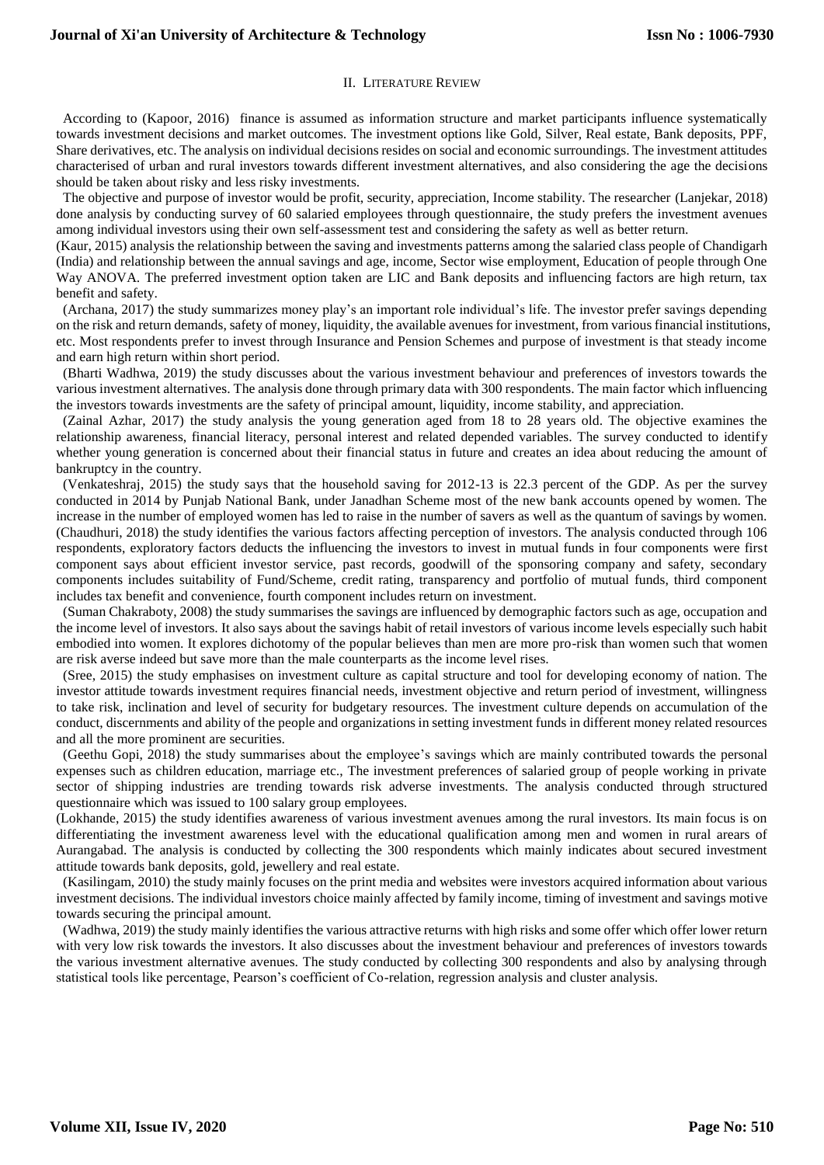## II. LITERATURE REVIEW

 According to (Kapoor, 2016) finance is assumed as information structure and market participants influence systematically towards investment decisions and market outcomes. The investment options like Gold, Silver, Real estate, Bank deposits, PPF, Share derivatives, etc. The analysis on individual decisions resides on social and economic surroundings. The investment attitudes characterised of urban and rural investors towards different investment alternatives, and also considering the age the decisions should be taken about risky and less risky investments.

 The objective and purpose of investor would be profit, security, appreciation, Income stability. The researcher (Lanjekar, 2018) done analysis by conducting survey of 60 salaried employees through questionnaire, the study prefers the investment avenues among individual investors using their own self-assessment test and considering the safety as well as better return.

(Kaur, 2015) analysis the relationship between the saving and investments patterns among the salaried class people of Chandigarh (India) and relationship between the annual savings and age, income, Sector wise employment, Education of people through One Way ANOVA. The preferred investment option taken are LIC and Bank deposits and influencing factors are high return, tax benefit and safety.

 (Archana, 2017) the study summarizes money play's an important role individual's life. The investor prefer savings depending on the risk and return demands, safety of money, liquidity, the available avenues for investment, from various financial institutions, etc. Most respondents prefer to invest through Insurance and Pension Schemes and purpose of investment is that steady income and earn high return within short period.

 (Bharti Wadhwa, 2019) the study discusses about the various investment behaviour and preferences of investors towards the various investment alternatives. The analysis done through primary data with 300 respondents. The main factor which influencing the investors towards investments are the safety of principal amount, liquidity, income stability, and appreciation.

 (Zainal Azhar, 2017) the study analysis the young generation aged from 18 to 28 years old. The objective examines the relationship awareness, financial literacy, personal interest and related depended variables. The survey conducted to identify whether young generation is concerned about their financial status in future and creates an idea about reducing the amount of bankruptcy in the country.

 (Venkateshraj, 2015) the study says that the household saving for 2012-13 is 22.3 percent of the GDP. As per the survey conducted in 2014 by Punjab National Bank, under Janadhan Scheme most of the new bank accounts opened by women. The increase in the number of employed women has led to raise in the number of savers as well as the quantum of savings by women. (Chaudhuri, 2018) the study identifies the various factors affecting perception of investors. The analysis conducted through 106 respondents, exploratory factors deducts the influencing the investors to invest in mutual funds in four components were first component says about efficient investor service, past records, goodwill of the sponsoring company and safety, secondary components includes suitability of Fund/Scheme, credit rating, transparency and portfolio of mutual funds, third component includes tax benefit and convenience, fourth component includes return on investment.

 (Suman Chakraboty, 2008) the study summarises the savings are influenced by demographic factors such as age, occupation and the income level of investors. It also says about the savings habit of retail investors of various income levels especially such habit embodied into women. It explores dichotomy of the popular believes than men are more pro-risk than women such that women are risk averse indeed but save more than the male counterparts as the income level rises.

 (Sree, 2015) the study emphasises on investment culture as capital structure and tool for developing economy of nation. The investor attitude towards investment requires financial needs, investment objective and return period of investment, willingness to take risk, inclination and level of security for budgetary resources. The investment culture depends on accumulation of the conduct, discernments and ability of the people and organizations in setting investment funds in different money related resources and all the more prominent are securities.

 (Geethu Gopi, 2018) the study summarises about the employee's savings which are mainly contributed towards the personal expenses such as children education, marriage etc., The investment preferences of salaried group of people working in private sector of shipping industries are trending towards risk adverse investments. The analysis conducted through structured questionnaire which was issued to 100 salary group employees.

(Lokhande, 2015) the study identifies awareness of various investment avenues among the rural investors. Its main focus is on differentiating the investment awareness level with the educational qualification among men and women in rural arears of Aurangabad. The analysis is conducted by collecting the 300 respondents which mainly indicates about secured investment attitude towards bank deposits, gold, jewellery and real estate.

 (Kasilingam, 2010) the study mainly focuses on the print media and websites were investors acquired information about various investment decisions. The individual investors choice mainly affected by family income, timing of investment and savings motive towards securing the principal amount.

 (Wadhwa, 2019) the study mainly identifies the various attractive returns with high risks and some offer which offer lower return with very low risk towards the investors. It also discusses about the investment behaviour and preferences of investors towards the various investment alternative avenues. The study conducted by collecting 300 respondents and also by analysing through statistical tools like percentage, Pearson's coefficient of Co-relation, regression analysis and cluster analysis.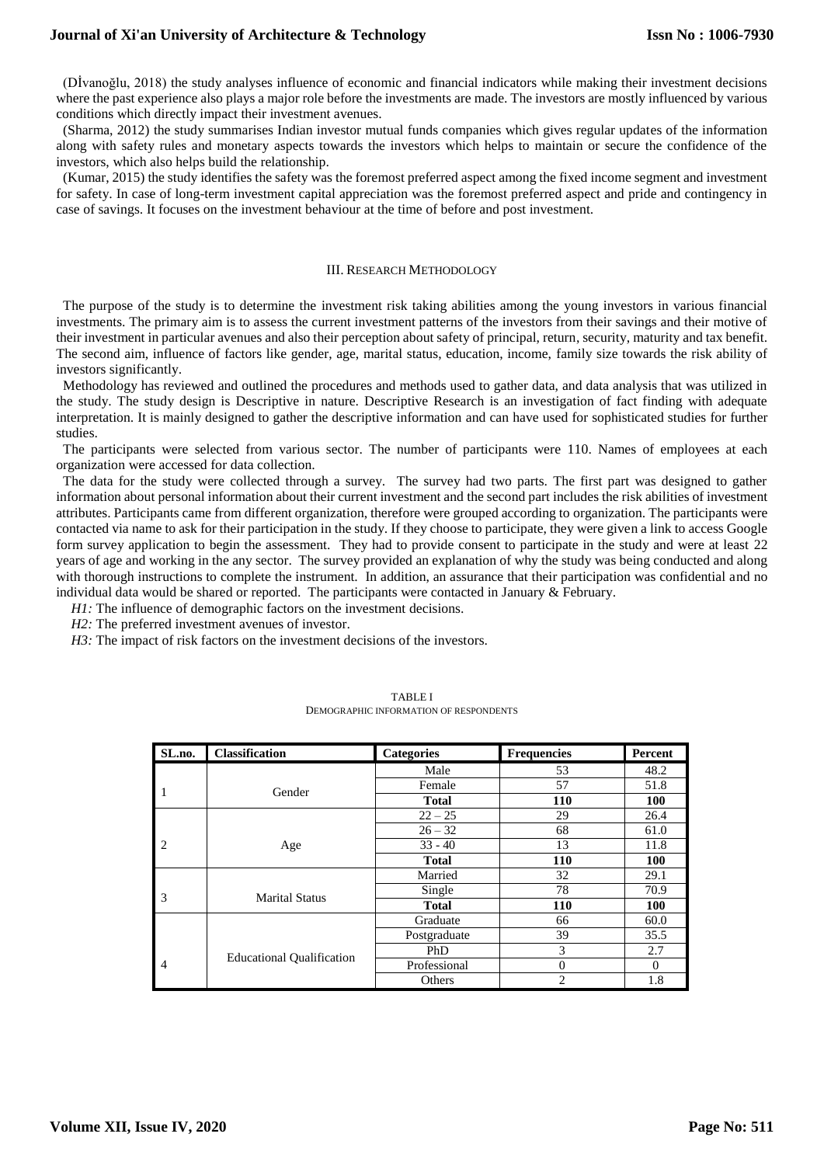(Dİvanoğlu, 2018) the study analyses influence of economic and financial indicators while making their investment decisions where the past experience also plays a major role before the investments are made. The investors are mostly influenced by various conditions which directly impact their investment avenues.

 (Sharma, 2012) the study summarises Indian investor mutual funds companies which gives regular updates of the information along with safety rules and monetary aspects towards the investors which helps to maintain or secure the confidence of the investors, which also helps build the relationship.

 (Kumar, 2015) the study identifies the safety was the foremost preferred aspect among the fixed income segment and investment for safety. In case of long-term investment capital appreciation was the foremost preferred aspect and pride and contingency in case of savings. It focuses on the investment behaviour at the time of before and post investment.

#### III. RESEARCH METHODOLOGY

 The purpose of the study is to determine the investment risk taking abilities among the young investors in various financial investments. The primary aim is to assess the current investment patterns of the investors from their savings and their motive of their investment in particular avenues and also their perception about safety of principal, return, security, maturity and tax benefit. The second aim, influence of factors like gender, age, marital status, education, income, family size towards the risk ability of investors significantly.

 Methodology has reviewed and outlined the procedures and methods used to gather data, and data analysis that was utilized in the study. The study design is Descriptive in nature. Descriptive Research is an investigation of fact finding with adequate interpretation. It is mainly designed to gather the descriptive information and can have used for sophisticated studies for further studies.

 The participants were selected from various sector. The number of participants were 110. Names of employees at each organization were accessed for data collection.

 The data for the study were collected through a survey. The survey had two parts. The first part was designed to gather information about personal information about their current investment and the second part includes the risk abilities of investment attributes. Participants came from different organization, therefore were grouped according to organization. The participants were contacted via name to ask for their participation in the study. If they choose to participate, they were given a link to access Google form survey application to begin the assessment. They had to provide consent to participate in the study and were at least 22 years of age and working in the any sector. The survey provided an explanation of why the study was being conducted and along with thorough instructions to complete the instrument. In addition, an assurance that their participation was confidential and no individual data would be shared or reported. The participants were contacted in January & February.

*H1*: The influence of demographic factors on the investment decisions.

*H2:* The preferred investment avenues of investor.

*H3*: The impact of risk factors on the investment decisions of the investors.

| SL.no.         | <b>Classification</b>            | <b>Categories</b> | <b>Frequencies</b> | Percent  |
|----------------|----------------------------------|-------------------|--------------------|----------|
|                |                                  | Male              | 53                 | 48.2     |
| 1              | Gender                           | Female            | 57                 | 51.8     |
|                |                                  | <b>Total</b>      | <b>110</b>         | 100      |
|                |                                  | $22 - 25$         | 29                 | 26.4     |
|                |                                  | $26 - 32$         | 68                 | 61.0     |
| 2              | Age                              | $33 - 40$         | 13                 | 11.8     |
|                |                                  | <b>Total</b>      | <b>110</b>         | 100      |
|                |                                  | Married           | 32                 | 29.1     |
| 3              | <b>Marital Status</b>            | Single            | 78                 | 70.9     |
|                |                                  | <b>Total</b>      | 110                | 100      |
|                |                                  | Graduate          | 66                 | 60.0     |
|                |                                  | Postgraduate      | 39                 | 35.5     |
|                | <b>Educational Qualification</b> | PhD               | 3                  | 2.7      |
| $\overline{4}$ |                                  | Professional      | $\theta$           | $\theta$ |
|                |                                  | Others            | 2                  | 1.8      |

| <b>TABLE I</b>                         |
|----------------------------------------|
| DEMOGRAPHIC INFORMATION OF RESPONDENTS |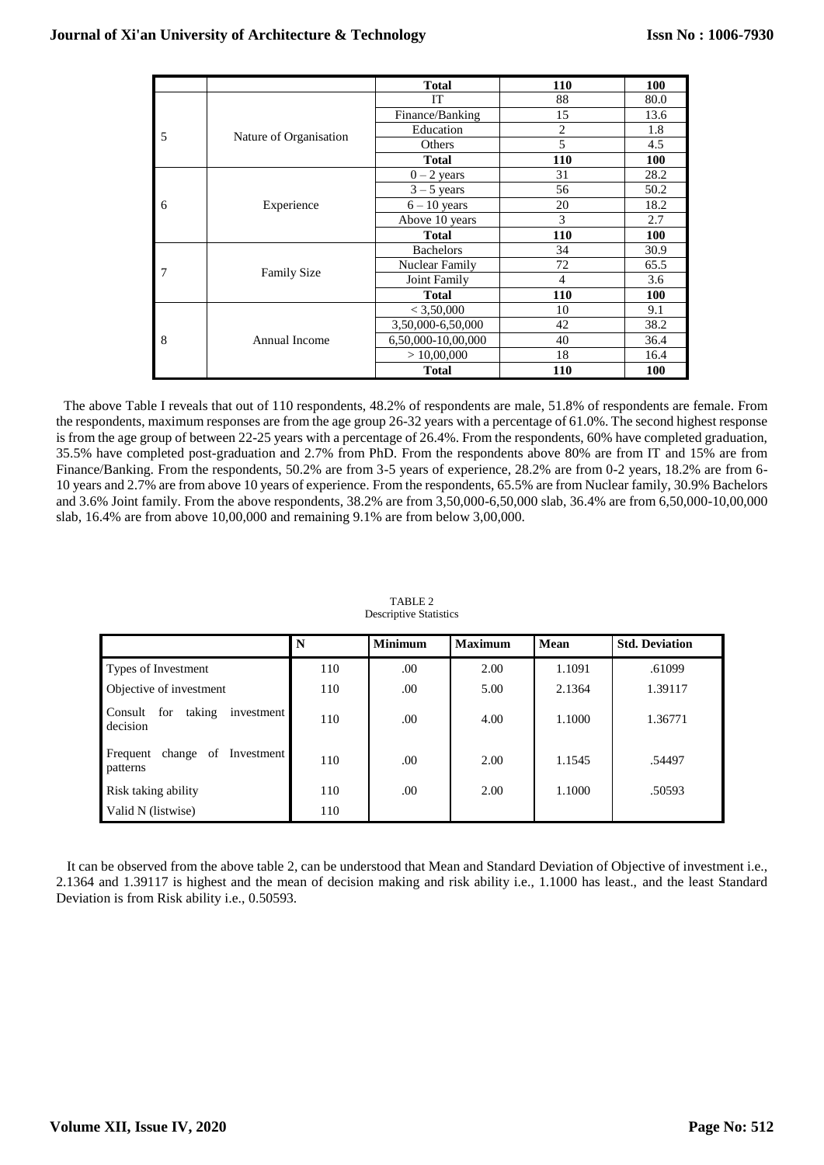$\sim$ 

 $\mathbf{r}$ 

|   |                        | <b>Total</b>       | 110            | 100        |
|---|------------------------|--------------------|----------------|------------|
|   |                        | IT                 | 88             | 80.0       |
|   |                        | Finance/Banking    | 15             | 13.6       |
| 5 |                        | Education          | $\overline{c}$ | 1.8        |
|   | Nature of Organisation | Others             | 5              | 4.5        |
|   |                        | <b>Total</b>       | <b>110</b>     | <b>100</b> |
|   |                        | $0 - 2$ years      | 31             | 28.2       |
|   |                        | $3 - 5$ years      | 56             | 50.2       |
| 6 | Experience             | $6 - 10$ years     | 20             | 18.2       |
|   |                        | Above 10 years     | 3              | 2.7        |
|   |                        | <b>Total</b>       | 110            | 100        |
|   |                        | <b>Bachelors</b>   | 34             | 30.9       |
|   | <b>Family Size</b>     | Nuclear Family     | 72             | 65.5       |
|   |                        | Joint Family       | 4              | 3.6        |
|   |                        | <b>Total</b>       | 110            | 100        |
|   |                        | < 3,50,000         | 10             | 9.1        |
|   | Annual Income          | 3,50,000-6,50,000  | 42             | 38.2       |
| 8 |                        | 6,50,000-10,00,000 | 40             | 36.4       |
|   |                        | >10,00,000         | 18             | 16.4       |
|   |                        | <b>Total</b>       | <b>110</b>     | <b>100</b> |

 The above Table I reveals that out of 110 respondents, 48.2% of respondents are male, 51.8% of respondents are female. From the respondents, maximum responses are from the age group 26-32 years with a percentage of 61.0%. The second highest response is from the age group of between 22-25 years with a percentage of 26.4%. From the respondents, 60% have completed graduation, 35.5% have completed post-graduation and 2.7% from PhD. From the respondents above 80% are from IT and 15% are from Finance/Banking. From the respondents, 50.2% are from 3-5 years of experience, 28.2% are from 0-2 years, 18.2% are from 6- 10 years and 2.7% are from above 10 years of experience. From the respondents, 65.5% are from Nuclear family, 30.9% Bachelors and 3.6% Joint family. From the above respondents, 38.2% are from 3,50,000-6,50,000 slab, 36.4% are from 6,50,000-10,00,000 slab, 16.4% are from above 10,00,000 and remaining 9.1% are from below 3,00,000.

|                                                    | N   | <b>Minimum</b> | <b>Maximum</b> | Mean   | <b>Std. Deviation</b> |
|----------------------------------------------------|-----|----------------|----------------|--------|-----------------------|
| Types of Investment                                | 110 | .00            | 2.00           | 1.1091 | .61099                |
| Objective of investment                            | 110 | .00            | 5.00           | 2.1364 | 1.39117               |
| taking<br>for<br>Consult<br>investment<br>decision | 110 | .00            | 4.00           | 1.1000 | 1.36771               |
| Frequent change of<br>Investment<br>patterns       | 110 | .00            | 2.00           | 1.1545 | .54497                |
| Risk taking ability                                | 110 | .00            | 2.00           | 1.1000 | .50593                |
| Valid N (listwise)                                 | 110 |                |                |        |                       |

TABLE 2 Descriptive Statistics

It can be observed from the above table 2, can be understood that Mean and Standard Deviation of Objective of investment i.e., 2.1364 and 1.39117 is highest and the mean of decision making and risk ability i.e., 1.1000 has least., and the least Standard Deviation is from Risk ability i.e., 0.50593.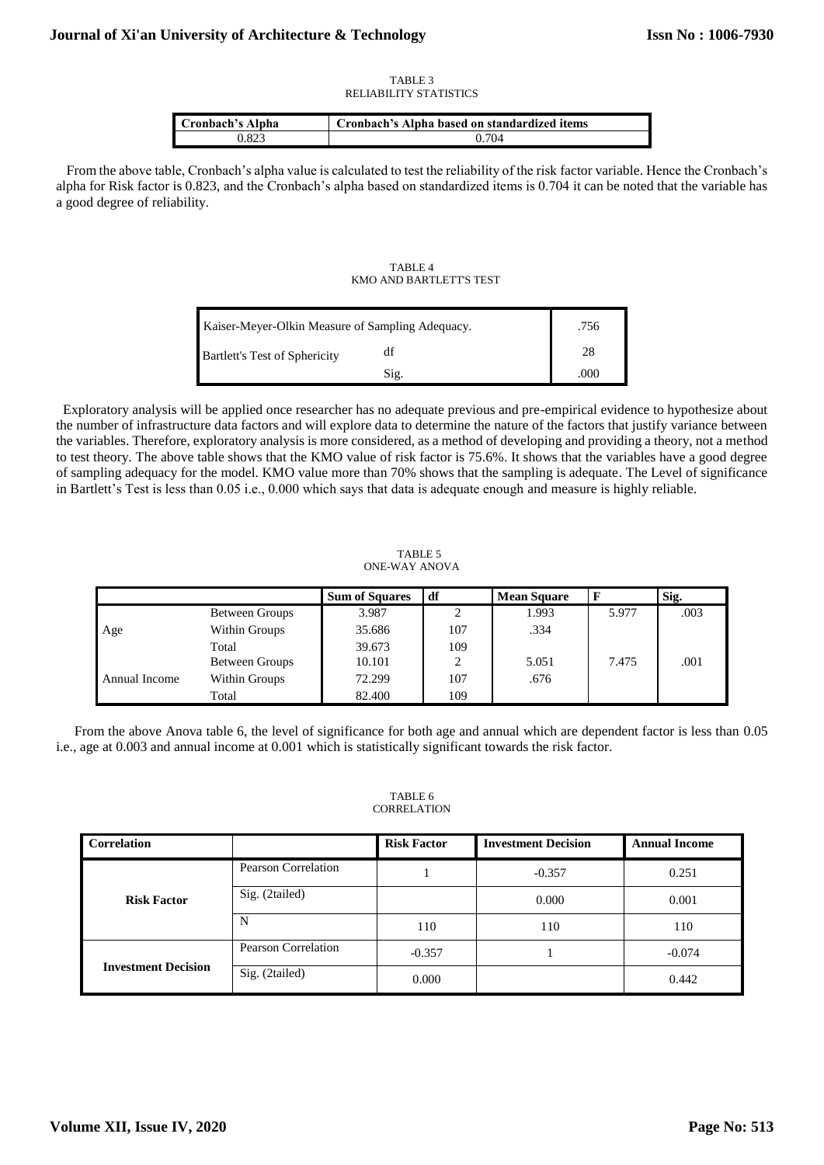#### TABLE 3 RELIABILITY STATISTICS

| Cronbach's Alpha | Cronbach's Alpha based on standardized items |
|------------------|----------------------------------------------|
| ).823            | 0.704                                        |

 From the above table, Cronbach's alpha value is calculated to test the reliability of the risk factor variable. Hence the Cronbach's alpha for Risk factor is 0.823, and the Cronbach's alpha based on standardized items is 0.704 it can be noted that the variable has a good degree of reliability.

## TABLE 4 KMO AND BARTLETT'S TEST

| Kaiser-Meyer-Olkin Measure of Sampling Adequacy. | .756 |      |
|--------------------------------------------------|------|------|
| <b>Bartlett's Test of Sphericity</b>             |      | 28   |
|                                                  | Sig. | .000 |

 Exploratory analysis will be applied once researcher has no adequate previous and pre-empirical evidence to hypothesize about the number of infrastructure data factors and will explore data to determine the nature of the factors that justify variance between the variables. Therefore, exploratory analysis is more considered, as a method of developing and providing a theory, not a method to test theory. The above table shows that the KMO value of risk factor is 75.6%. It shows that the variables have a good degree of sampling adequacy for the model. KMO value more than 70% shows that the sampling is adequate. The Level of significance in Bartlett's Test is less than 0.05 i.e., 0.000 which says that data is adequate enough and measure is highly reliable.

TABLE 5 ONE-WAY ANOVA

|               |                | <b>Sum of Squares</b> | df        | <b>Mean Square</b> |       | Sig. |
|---------------|----------------|-----------------------|-----------|--------------------|-------|------|
|               | Between Groups | 3.987                 | $\bigcap$ | 1.993              | 5.977 | .003 |
| Age           | Within Groups  | 35.686                | 107       | .334               |       |      |
|               | Total          | 39.673                | 109       |                    |       |      |
|               | Between Groups | 10.101                | $\bigcap$ | 5.051              | 7.475 | .001 |
| Annual Income | Within Groups  | 72.299                | 107       | .676               |       |      |
|               | Total          | 82.400                | 109       |                    |       |      |

From the above Anova table 6, the level of significance for both age and annual which are dependent factor is less than 0.05 i.e., age at 0.003 and annual income at 0.001 which is statistically significant towards the risk factor.

TABLE 6 **CORRELATION** 

| <b>Correlation</b>         |                            | <b>Risk Factor</b> | <b>Investment Decision</b> | <b>Annual Income</b> |
|----------------------------|----------------------------|--------------------|----------------------------|----------------------|
|                            | Pearson Correlation        |                    | $-0.357$                   | 0.251                |
| <b>Risk Factor</b>         | Sig. (2tailed)             |                    | 0.000                      | 0.001                |
|                            | N                          | 110                | 110                        | 110                  |
|                            | <b>Pearson Correlation</b> | $-0.357$           |                            | $-0.074$             |
| <b>Investment Decision</b> | Sig. (2tailed)             | 0.000              |                            | 0.442                |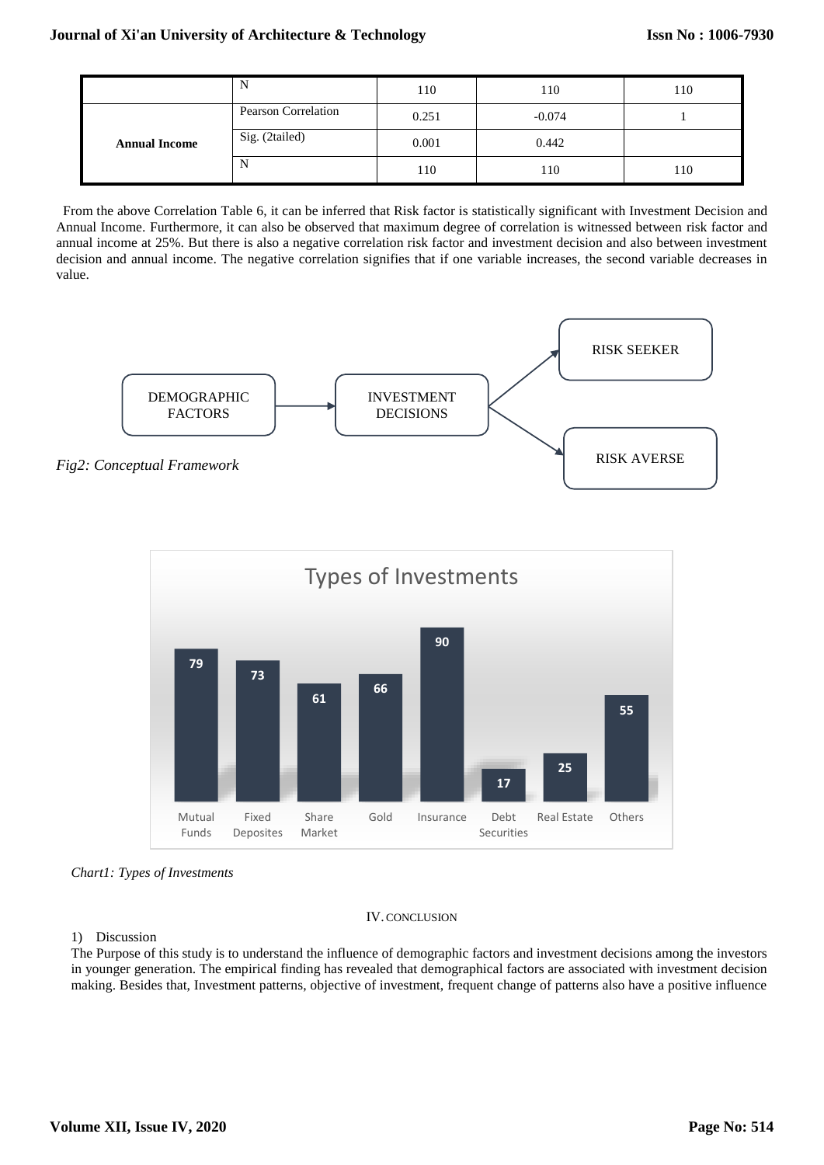|                      | N                   | 110   | 110      | 110 |
|----------------------|---------------------|-------|----------|-----|
|                      | Pearson Correlation | 0.251 | $-0.074$ |     |
| <b>Annual Income</b> | Sig. (2tailed)      | 0.001 | 0.442    |     |
|                      | N                   | 110   | 110      | 110 |

 From the above Correlation Table 6, it can be inferred that Risk factor is statistically significant with Investment Decision and Annual Income. Furthermore, it can also be observed that maximum degree of correlation is witnessed between risk factor and annual income at 25%. But there is also a negative correlation risk factor and investment decision and also between investment decision and annual income. The negative correlation signifies that if one variable increases, the second variable decreases in value.





*Chart1: Types of Investments*

# IV. CONCLUSION

# 1) Discussion

The Purpose of this study is to understand the influence of demographic factors and investment decisions among the investors in younger generation. The empirical finding has revealed that demographical factors are associated with investment decision making. Besides that, Investment patterns, objective of investment, frequent change of patterns also have a positive influence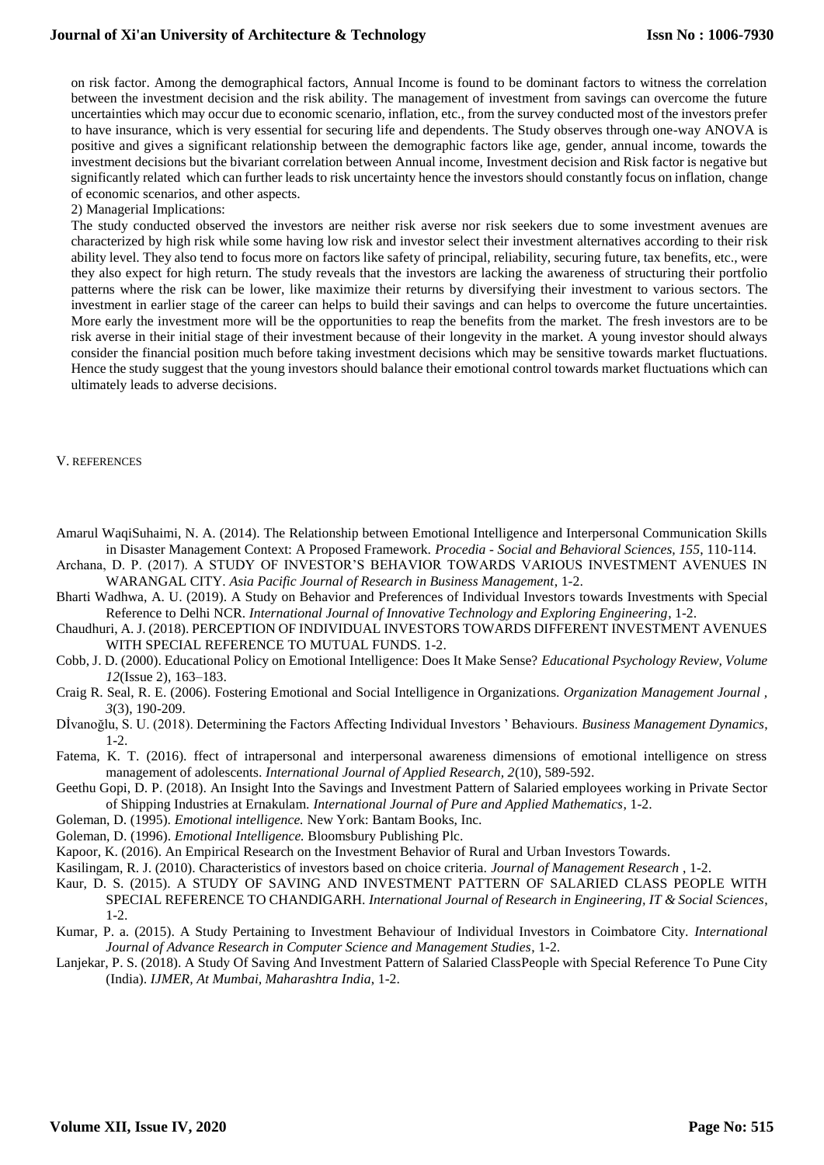on risk factor. Among the demographical factors, Annual Income is found to be dominant factors to witness the correlation between the investment decision and the risk ability. The management of investment from savings can overcome the future uncertainties which may occur due to economic scenario, inflation, etc., from the survey conducted most of the investors prefer to have insurance, which is very essential for securing life and dependents. The Study observes through one-way ANOVA is positive and gives a significant relationship between the demographic factors like age, gender, annual income, towards the investment decisions but the bivariant correlation between Annual income, Investment decision and Risk factor is negative but significantly related which can further leads to risk uncertainty hence the investors should constantly focus on inflation, change of economic scenarios, and other aspects.

2) Managerial Implications:

The study conducted observed the investors are neither risk averse nor risk seekers due to some investment avenues are characterized by high risk while some having low risk and investor select their investment alternatives according to their risk ability level. They also tend to focus more on factors like safety of principal, reliability, securing future, tax benefits, etc., were they also expect for high return. The study reveals that the investors are lacking the awareness of structuring their portfolio patterns where the risk can be lower, like maximize their returns by diversifying their investment to various sectors. The investment in earlier stage of the career can helps to build their savings and can helps to overcome the future uncertainties. More early the investment more will be the opportunities to reap the benefits from the market. The fresh investors are to be risk averse in their initial stage of their investment because of their longevity in the market. A young investor should always consider the financial position much before taking investment decisions which may be sensitive towards market fluctuations. Hence the study suggest that the young investors should balance their emotional control towards market fluctuations which can ultimately leads to adverse decisions.

## V. REFERENCES

Amarul WaqiSuhaimi, N. A. (2014). The Relationship between Emotional Intelligence and Interpersonal Communication Skills in Disaster Management Context: A Proposed Framework. *Procedia - Social and Behavioral Sciences, 155*, 110-114.

- Archana, D. P. (2017). A STUDY OF INVESTOR'S BEHAVIOR TOWARDS VARIOUS INVESTMENT AVENUES IN WARANGAL CITY. *Asia Pacific Journal of Research in Business Management*, 1-2.
- Bharti Wadhwa, A. U. (2019). A Study on Behavior and Preferences of Individual Investors towards Investments with Special Reference to Delhi NCR. *International Journal of Innovative Technology and Exploring Engineering*, 1-2.
- Chaudhuri, A. J. (2018). PERCEPTION OF INDIVIDUAL INVESTORS TOWARDS DIFFERENT INVESTMENT AVENUES WITH SPECIAL REFERENCE TO MUTUAL FUNDS. 1-2.
- Cobb, J. D. (2000). Educational Policy on Emotional Intelligence: Does It Make Sense? *Educational Psychology Review, Volume 12*(Issue 2), 163–183.
- Craig R. Seal, R. E. (2006). Fostering Emotional and Social Intelligence in Organizations. *Organization Management Journal , 3*(3), 190-209.
- Dİvanoğlu, S. U. (2018). Determining the Factors Affecting Individual Investors ' Behaviours. *Business Management Dynamics*, 1-2.
- Fatema, K. T. (2016). ffect of intrapersonal and interpersonal awareness dimensions of emotional intelligence on stress management of adolescents. *International Journal of Applied Research, 2*(10), 589-592.
- Geethu Gopi, D. P. (2018). An Insight Into the Savings and Investment Pattern of Salaried employees working in Private Sector of Shipping Industries at Ernakulam. *International Journal of Pure and Applied Mathematics*, 1-2.
- Goleman, D. (1995). *Emotional intelligence.* New York: Bantam Books, Inc.
- Goleman, D. (1996). *Emotional Intelligence.* Bloomsbury Publishing Plc.
- Kapoor, K. (2016). An Empirical Research on the Investment Behavior of Rural and Urban Investors Towards.

Kasilingam, R. J. (2010). Characteristics of investors based on choice criteria. *Journal of Management Research* , 1-2.

- Kaur, D. S. (2015). A STUDY OF SAVING AND INVESTMENT PATTERN OF SALARIED CLASS PEOPLE WITH SPECIAL REFERENCE TO CHANDIGARH. *International Journal of Research in Engineering, IT & Social Sciences*, 1-2.
- Kumar, P. a. (2015). A Study Pertaining to Investment Behaviour of Individual Investors in Coimbatore City. *International Journal of Advance Research in Computer Science and Management Studies*, 1-2.
- Lanjekar, P. S. (2018). A Study Of Saving And Investment Pattern of Salaried ClassPeople with Special Reference To Pune City (India). *IJMER, At Mumbai, Maharashtra India*, 1-2.